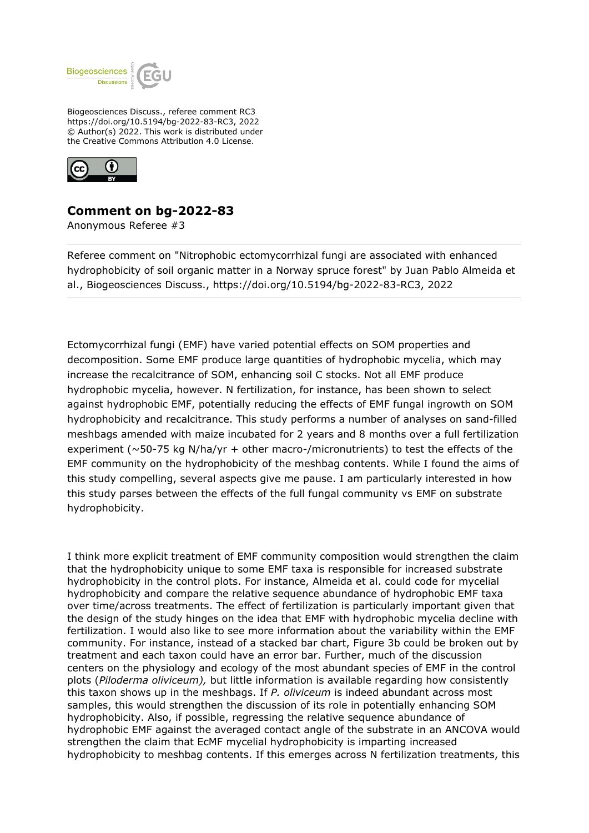

Biogeosciences Discuss., referee comment RC3 https://doi.org/10.5194/bg-2022-83-RC3, 2022 © Author(s) 2022. This work is distributed under the Creative Commons Attribution 4.0 License.



## **Comment on bg-2022-83**

Anonymous Referee #3

Referee comment on "Nitrophobic ectomycorrhizal fungi are associated with enhanced hydrophobicity of soil organic matter in a Norway spruce forest" by Juan Pablo Almeida et al., Biogeosciences Discuss., https://doi.org/10.5194/bg-2022-83-RC3, 2022

Ectomycorrhizal fungi (EMF) have varied potential effects on SOM properties and decomposition. Some EMF produce large quantities of hydrophobic mycelia, which may increase the recalcitrance of SOM, enhancing soil C stocks. Not all EMF produce hydrophobic mycelia, however. N fertilization, for instance, has been shown to select against hydrophobic EMF, potentially reducing the effects of EMF fungal ingrowth on SOM hydrophobicity and recalcitrance. This study performs a number of analyses on sand-filled meshbags amended with maize incubated for 2 years and 8 months over a full fertilization experiment ( $\sim$ 50-75 kg N/ha/yr + other macro-/micronutrients) to test the effects of the EMF community on the hydrophobicity of the meshbag contents. While I found the aims of this study compelling, several aspects give me pause. I am particularly interested in how this study parses between the effects of the full fungal community vs EMF on substrate hydrophobicity.

I think more explicit treatment of EMF community composition would strengthen the claim that the hydrophobicity unique to some EMF taxa is responsible for increased substrate hydrophobicity in the control plots. For instance, Almeida et al. could code for mycelial hydrophobicity and compare the relative sequence abundance of hydrophobic EMF taxa over time/across treatments. The effect of fertilization is particularly important given that the design of the study hinges on the idea that EMF with hydrophobic mycelia decline with fertilization. I would also like to see more information about the variability within the EMF community. For instance, instead of a stacked bar chart, Figure 3b could be broken out by treatment and each taxon could have an error bar. Further, much of the discussion centers on the physiology and ecology of the most abundant species of EMF in the control plots (*Piloderma oliviceum),* but little information is available regarding how consistently this taxon shows up in the meshbags. If *P. oliviceum* is indeed abundant across most samples, this would strengthen the discussion of its role in potentially enhancing SOM hydrophobicity. Also, if possible, regressing the relative sequence abundance of hydrophobic EMF against the averaged contact angle of the substrate in an ANCOVA would strengthen the claim that EcMF mycelial hydrophobicity is imparting increased hydrophobicity to meshbag contents. If this emerges across N fertilization treatments, this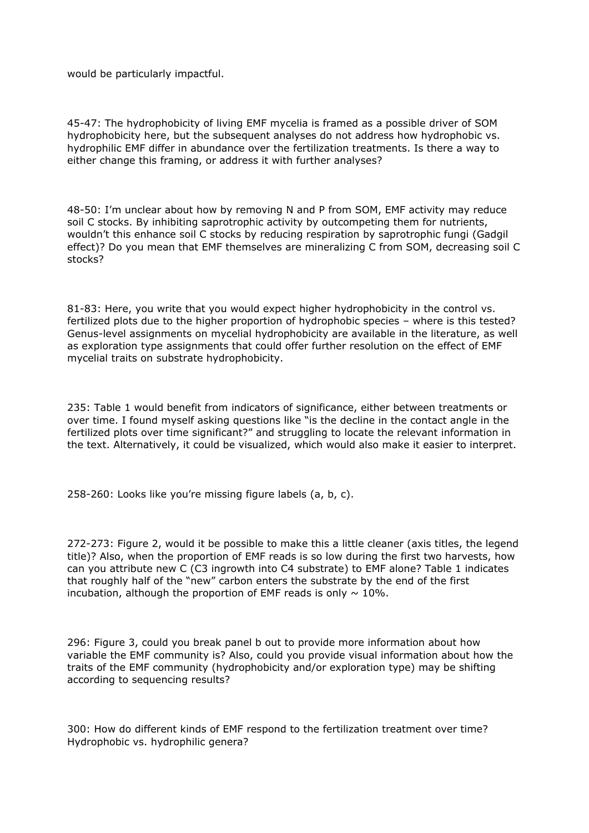would be particularly impactful.

45-47: The hydrophobicity of living EMF mycelia is framed as a possible driver of SOM hydrophobicity here, but the subsequent analyses do not address how hydrophobic vs. hydrophilic EMF differ in abundance over the fertilization treatments. Is there a way to either change this framing, or address it with further analyses?

48-50: I'm unclear about how by removing N and P from SOM, EMF activity may reduce soil C stocks. By inhibiting saprotrophic activity by outcompeting them for nutrients, wouldn't this enhance soil C stocks by reducing respiration by saprotrophic fungi (Gadgil effect)? Do you mean that EMF themselves are mineralizing C from SOM, decreasing soil C stocks?

81-83: Here, you write that you would expect higher hydrophobicity in the control vs. fertilized plots due to the higher proportion of hydrophobic species – where is this tested? Genus-level assignments on mycelial hydrophobicity are available in the literature, as well as exploration type assignments that could offer further resolution on the effect of EMF mycelial traits on substrate hydrophobicity.

235: Table 1 would benefit from indicators of significance, either between treatments or over time. I found myself asking questions like "is the decline in the contact angle in the fertilized plots over time significant?" and struggling to locate the relevant information in the text. Alternatively, it could be visualized, which would also make it easier to interpret.

258-260: Looks like you're missing figure labels (a, b, c).

272-273: Figure 2, would it be possible to make this a little cleaner (axis titles, the legend title)? Also, when the proportion of EMF reads is so low during the first two harvests, how can you attribute new C (C3 ingrowth into C4 substrate) to EMF alone? Table 1 indicates that roughly half of the "new" carbon enters the substrate by the end of the first incubation, although the proportion of EMF reads is only  $\sim 10\%$ .

296: Figure 3, could you break panel b out to provide more information about how variable the EMF community is? Also, could you provide visual information about how the traits of the EMF community (hydrophobicity and/or exploration type) may be shifting according to sequencing results?

300: How do different kinds of EMF respond to the fertilization treatment over time? Hydrophobic vs. hydrophilic genera?